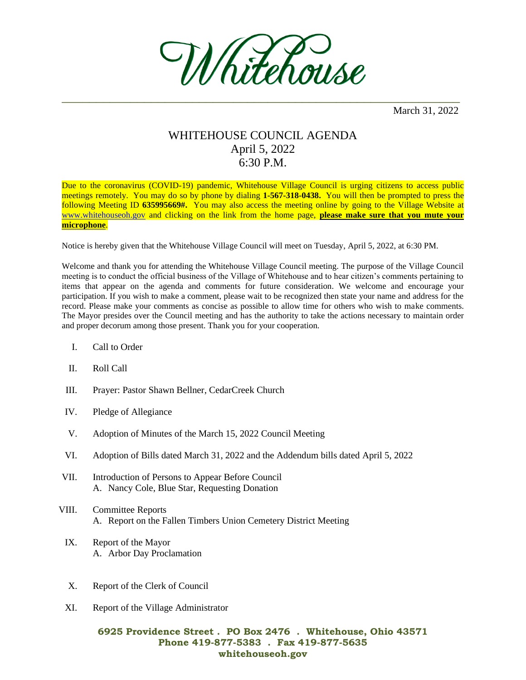

March 31, 2022

## WHITEHOUSE COUNCIL AGENDA April 5, 2022 6:30 P.M.

Due to the coronavirus (COVID-19) pandemic, Whitehouse Village Council is urging citizens to access public meetings remotely. You may do so by phone by dialing **1-567-318-0438.** You will then be prompted to press the following Meeting ID **635995669#.** You may also access the meeting online by going to the Village Website at [www.whitehouseoh.gov](http://www.whitehouseoh.gov/) and clicking on the link from the home page, **please make sure that you mute your microphone**.

Notice is hereby given that the Whitehouse Village Council will meet on Tuesday, April 5, 2022, at 6:30 PM.

Welcome and thank you for attending the Whitehouse Village Council meeting. The purpose of the Village Council meeting is to conduct the official business of the Village of Whitehouse and to hear citizen's comments pertaining to items that appear on the agenda and comments for future consideration. We welcome and encourage your participation. If you wish to make a comment, please wait to be recognized then state your name and address for the record. Please make your comments as concise as possible to allow time for others who wish to make comments. The Mayor presides over the Council meeting and has the authority to take the actions necessary to maintain order and proper decorum among those present. Thank you for your cooperation.

- I. Call to Order
- II. Roll Call
- III. Prayer: Pastor Shawn Bellner, CedarCreek Church
- IV. Pledge of Allegiance
- V. Adoption of Minutes of the March 15, 2022 Council Meeting
- VI. Adoption of Bills dated March 31, 2022 and the Addendum bills dated April 5, 2022
- VII. Introduction of Persons to Appear Before Council A. Nancy Cole, Blue Star, Requesting Donation
- VIII. Committee Reports A. Report on the Fallen Timbers Union Cemetery District Meeting
- IX. Report of the Mayor A. Arbor Day Proclamation
- X. Report of the Clerk of Council
- XI. Report of the Village Administrator

## **6925 Providence Street . PO Box 2476 . Whitehouse, Ohio 43571 Phone 419-877-5383 . Fax 419-877-5635 whitehouseoh.gov**